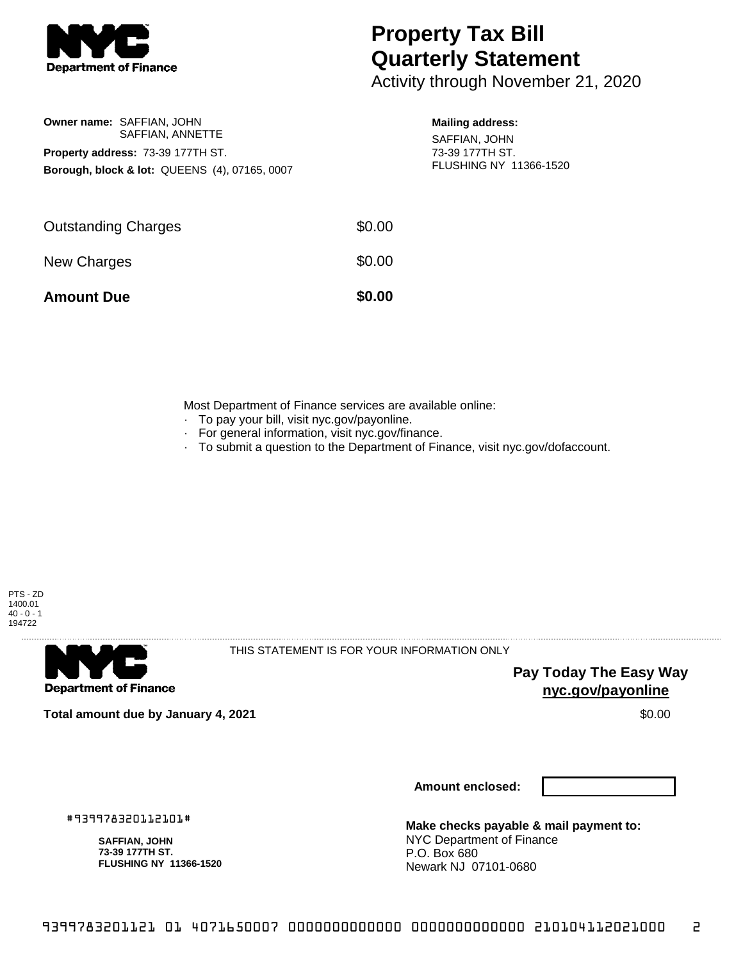

**Owner name:** SAFFIAN, JOHN

**Property address:** 73-39 177TH ST.

SAFFIAN, ANNETTE

**Borough, block & lot:** QUEENS (4), 07165, 0007

## **Property Tax Bill Quarterly Statement**

Activity through November 21, 2020

## **Mailing address:**

SAFFIAN, JOHN 73-39 177TH ST. FLUSHING NY 11366-1520

| <b>Amount Due</b>          | \$0.00 |
|----------------------------|--------|
| New Charges                | \$0.00 |
| <b>Outstanding Charges</b> | \$0.00 |
|                            |        |

Most Department of Finance services are available online:

- · To pay your bill, visit nyc.gov/payonline.
- For general information, visit nyc.gov/finance.
- · To submit a question to the Department of Finance, visit nyc.gov/dofaccount.



**Department of Finance** 

THIS STATEMENT IS FOR YOUR INFORMATION ONLY

**Pay Today The Easy Way nyc.gov/payonline**

**Total amount due by January 4, 2021** \$0.00

**Amount enclosed:**

#939978320112101#

**SAFFIAN, JOHN 73-39 177TH ST. FLUSHING NY 11366-1520**

**Make checks payable & mail payment to:** NYC Department of Finance P.O. Box 680 Newark NJ 07101-0680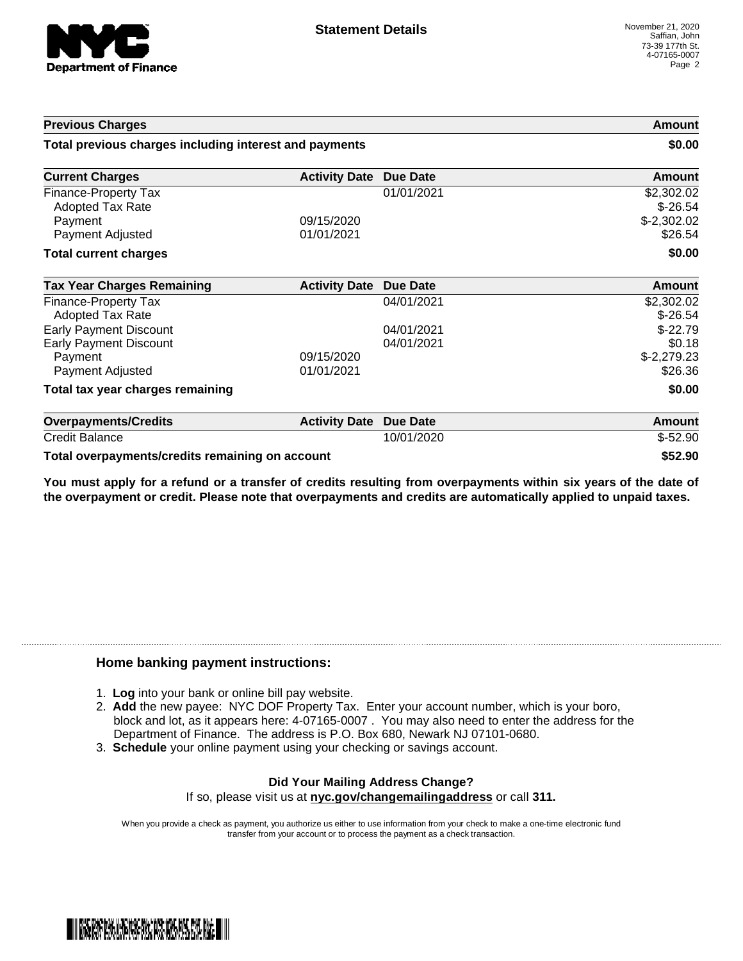

| <b>Previous Charges</b><br>Total previous charges including interest and payments |                      | Amount<br>\$0.00 |                        |
|-----------------------------------------------------------------------------------|----------------------|------------------|------------------------|
|                                                                                   |                      |                  | <b>Current Charges</b> |
| Finance-Property Tax                                                              |                      | 01/01/2021       | \$2,302.02             |
| <b>Adopted Tax Rate</b>                                                           |                      |                  | $$-26.54$              |
| Payment                                                                           | 09/15/2020           |                  | $$-2,302.02$           |
| Payment Adjusted                                                                  | 01/01/2021           |                  | \$26.54                |
| <b>Total current charges</b>                                                      |                      |                  | \$0.00                 |
| <b>Tax Year Charges Remaining</b>                                                 | <b>Activity Date</b> | Due Date         | Amount                 |
| Finance-Property Tax                                                              |                      | 04/01/2021       | \$2,302.02             |
| <b>Adopted Tax Rate</b>                                                           |                      |                  | $$-26.54$              |
| <b>Early Payment Discount</b>                                                     |                      | 04/01/2021       | $$-22.79$              |
| <b>Early Payment Discount</b>                                                     |                      | 04/01/2021       | \$0.18                 |
| Payment                                                                           | 09/15/2020           |                  | $$-2,279.23$           |
| Payment Adjusted                                                                  | 01/01/2021           |                  | \$26.36                |
| Total tax year charges remaining                                                  |                      |                  | \$0.00                 |
| <b>Overpayments/Credits</b>                                                       | <b>Activity Date</b> | <b>Due Date</b>  | Amount                 |
| <b>Credit Balance</b>                                                             |                      | 10/01/2020       | $$-52.90$              |

**Total overpayments/credits remaining on account \$52.90**

You must apply for a refund or a transfer of credits resulting from overpayments within six years of the date of **the overpayment or credit. Please note that overpayments and credits are automatically applied to unpaid taxes.**

## **Home banking payment instructions:**

- 1. **Log** into your bank or online bill pay website.
- 2. **Add** the new payee: NYC DOF Property Tax. Enter your account number, which is your boro, block and lot, as it appears here: 4-07165-0007 . You may also need to enter the address for the Department of Finance. The address is P.O. Box 680, Newark NJ 07101-0680.
- 3. **Schedule** your online payment using your checking or savings account.

## **Did Your Mailing Address Change?** If so, please visit us at **nyc.gov/changemailingaddress** or call **311.**

When you provide a check as payment, you authorize us either to use information from your check to make a one-time electronic fund transfer from your account or to process the payment as a check transaction.